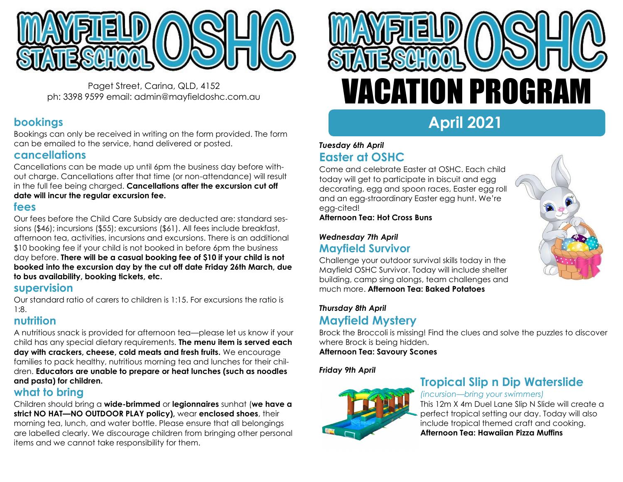

Paget Street, Carina, QLD, 4152 ph: 3398 9599 email: admin@mayfieldoshc.com.au

# **bookings**

Bookings can only be received in writing on the form provided. The form can be emailed to the service, hand delivered or posted.

# **cancellations**

Cancellations can be made up until 6pm the business day before without charge. Cancellations after that time (or non-attendance) will result in the full fee being charged. **Cancellations after the excursion cut off date will incur the regular excursion fee.**

# **fees**

Our fees before the Child Care Subsidy are deducted are: standard sessions (\$46); incursions (\$55); excursions (\$61). All fees include breakfast, afternoon tea, activities, incursions and excursions. There is an additional \$10 booking fee if your child is not booked in before 6pm the business day before. **There will be a casual booking fee of \$10 if your child is not booked into the excursion day by the cut off date Friday 26th March, due to bus availability, booking tickets, etc.**

# **supervision**

Our standard ratio of carers to children is 1:15. For excursions the ratio is 1:8.

# **nutrition**

A nutritious snack is provided for afternoon tea—please let us know if your child has any special dietary requirements. **The menu item is served each day with crackers, cheese, cold meats and fresh fruits.** We encourage families to pack healthy, nutritious morning tea and lunches for their children. **Educators are unable to prepare or heat lunches (such as noodles and pasta) for children.**

# **what to bring**

Children should bring a **wide-brimmed** or **legionnaires** sunhat (**we have a strict NO HAT—NO OUTDOOR PLAY policy),** wear **enclosed shoes**, their morning tea, lunch, and water bottle. Please ensure that all belongings are labelled clearly. We discourage children from bringing other personal items and we cannot take responsibility for them.



# **April 2021**

# *Tuesday 6th April* **Easter at OSHC**

Come and celebrate Easter at OSHC. Each child today will get to participate in biscuit and egg decorating, egg and spoon races, Easter egg roll and an egg-straordinary Easter egg hunt. We're egg-cited!

**Afternoon Tea: Hot Cross Buns**

### *Wednesday 7th April* **Mayfield Survivor**

Challenge your outdoor survival skills today in the Mayfield OSHC Survivor. Today will include shelter building, camp sing alongs, team challenges and much more. **Afternoon Tea: Baked Potatoes**



# *Thursday 8th April* **Mayfield Mystery**

Brock the Broccoli is missing! Find the clues and solve the puzzles to discover where Brock is being hidden. **Afternoon Tea: Savoury Scones** 

*Friday 9th April*



# **Tropical Slip n Dip Waterslide**

#### *(incursion—bring your swimmers)*

This 12m X 4m Duel Lane Slip N Slide will create a perfect tropical setting our day. Today will also include tropical themed craft and cooking. **Afternoon Tea: Hawaiian Pizza Muffins**